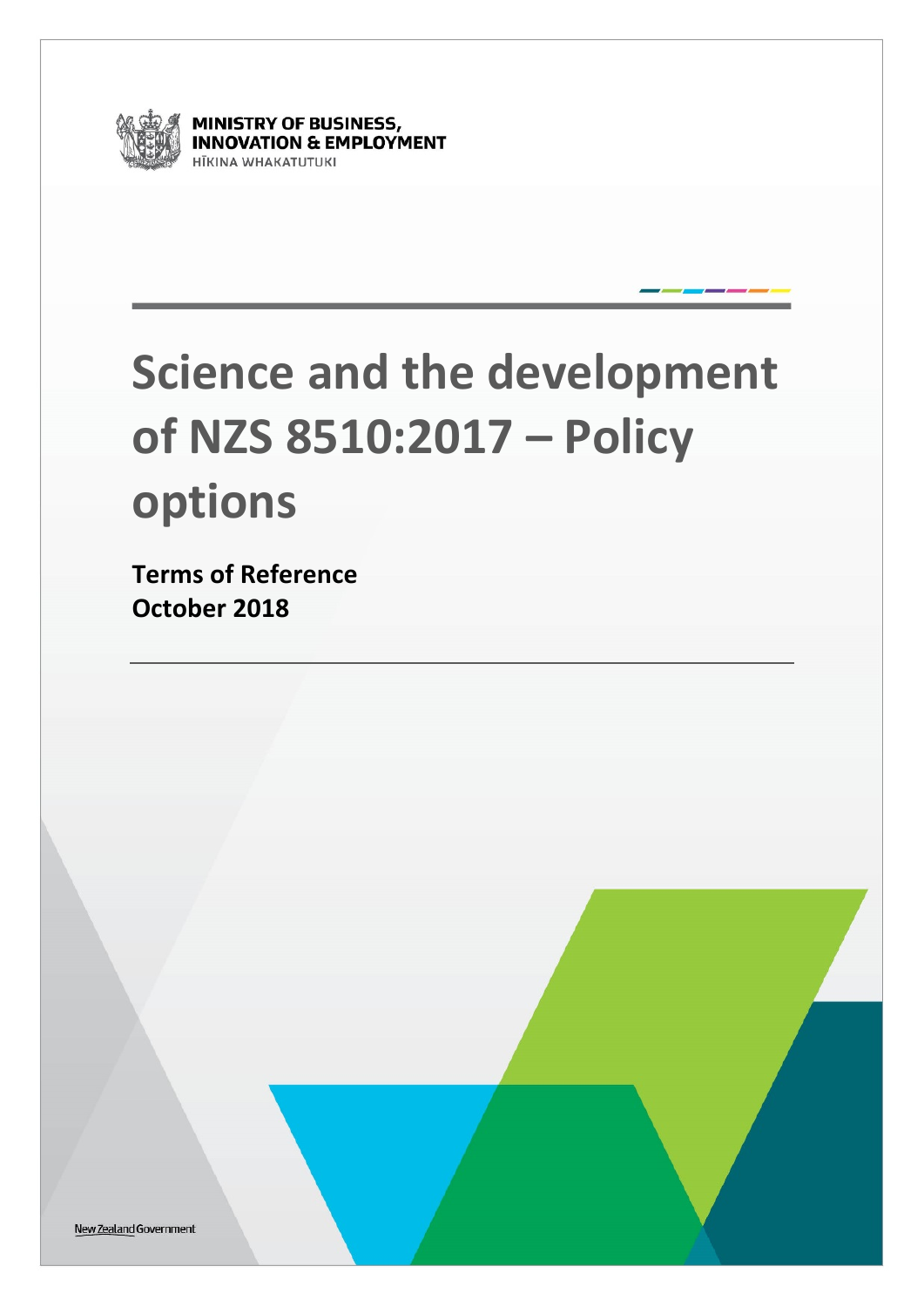

**MINISTRY OF BUSINESS,<br>INNOVATION & EMPLOYMENT ITKINA WHAKATUTUKI** 

# **Science and the development of NZS 8510:2017 – Policy options**

**Terms of Reference October 2018**

New Zealand Government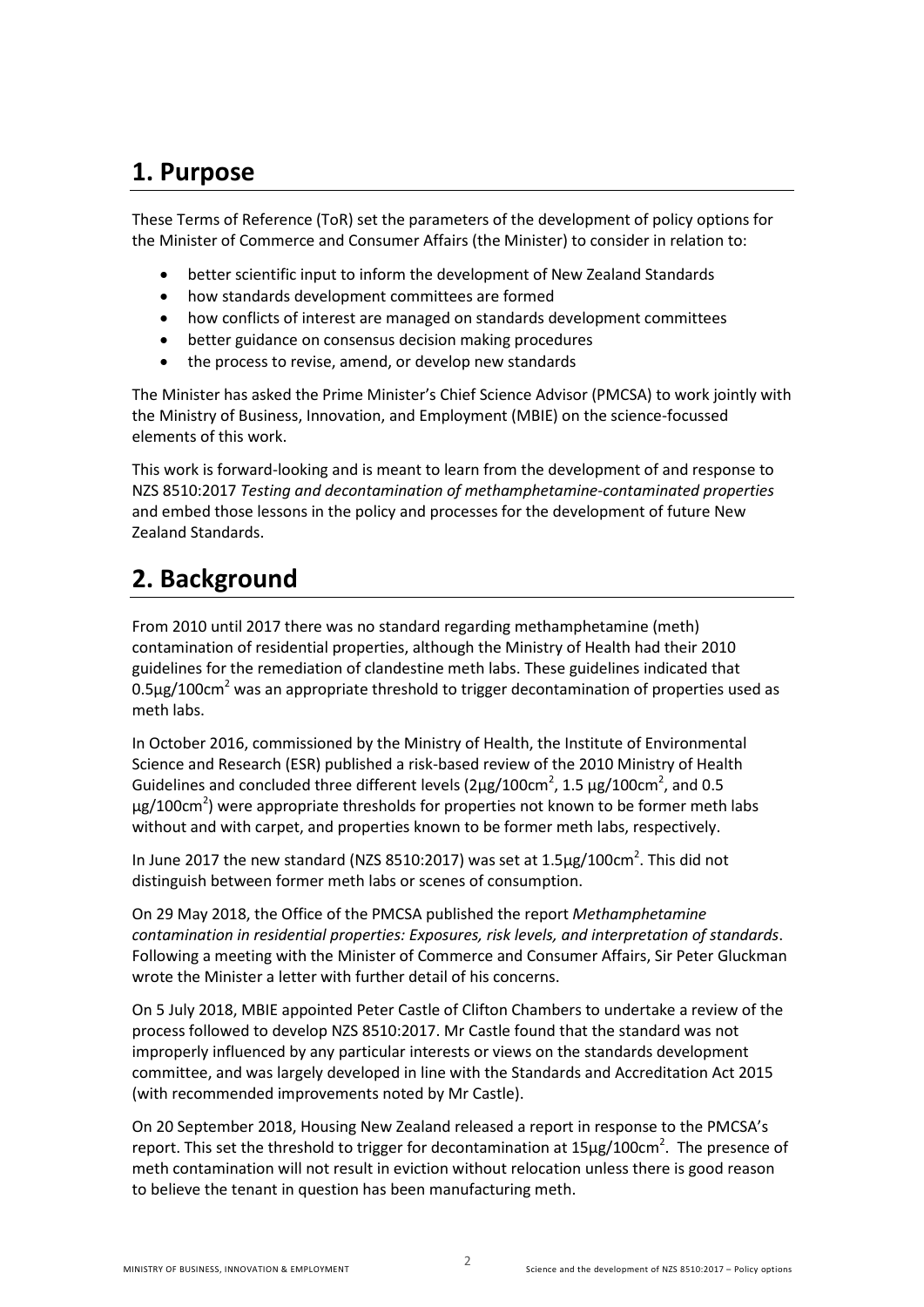## **1. Purpose**

These Terms of Reference (ToR) set the parameters of the development of policy options for the Minister of Commerce and Consumer Affairs (the Minister) to consider in relation to:

- better scientific input to inform the development of New Zealand Standards
- how standards development committees are formed
- how conflicts of interest are managed on standards development committees
- better guidance on consensus decision making procedures
- the process to revise, amend, or develop new standards

The Minister has asked the Prime Minister's Chief Science Advisor (PMCSA) to work jointly with the Ministry of Business, Innovation, and Employment (MBIE) on the science-focussed elements of this work.

This work is forward-looking and is meant to learn from the development of and response to NZS 8510:2017 *Testing and decontamination of methamphetamine-contaminated properties* and embed those lessons in the policy and processes for the development of future New Zealand Standards.

# **2. Background**

From 2010 until 2017 there was no standard regarding methamphetamine (meth) contamination of residential properties, although the Ministry of Health had their 2010 guidelines for the remediation of clandestine meth labs. These guidelines indicated that  $0.5\mu$ g/100cm<sup>2</sup> was an appropriate threshold to trigger decontamination of properties used as meth labs.

In October 2016, commissioned by the Ministry of Health, the Institute of Environmental Science and Research (ESR) published a risk-based review of the 2010 Ministry of Health Guidelines and concluded three different levels ( $2\mu$ g/100cm<sup>2</sup>, 1.5  $\mu$ g/100cm<sup>2</sup>, and 0.5 μg/100cm<sup>2</sup>) were appropriate thresholds for properties not known to be former meth labs without and with carpet, and properties known to be former meth labs, respectively.

In June 2017 the new standard (NZS 8510:2017) was set at  $1.5 \mu$ g/100cm<sup>2</sup>. This did not distinguish between former meth labs or scenes of consumption.

On 29 May 2018, the Office of the PMCSA published the report *Methamphetamine contamination in residential properties: Exposures, risk levels, and interpretation of standards*. Following a meeting with the Minister of Commerce and Consumer Affairs, Sir Peter Gluckman wrote the Minister a letter with further detail of his concerns.

On 5 July 2018, MBIE appointed Peter Castle of Clifton Chambers to undertake a review of the process followed to develop NZS 8510:2017. Mr Castle found that the standard was not improperly influenced by any particular interests or views on the standards development committee, and was largely developed in line with the Standards and Accreditation Act 2015 (with recommended improvements noted by Mr Castle).

On 20 September 2018, Housing New Zealand released a report in response to the PMCSA's report. This set the threshold to trigger for decontamination at  $15 \mu$ g/100cm<sup>2</sup>. The presence of meth contamination will not result in eviction without relocation unless there is good reason to believe the tenant in question has been manufacturing meth.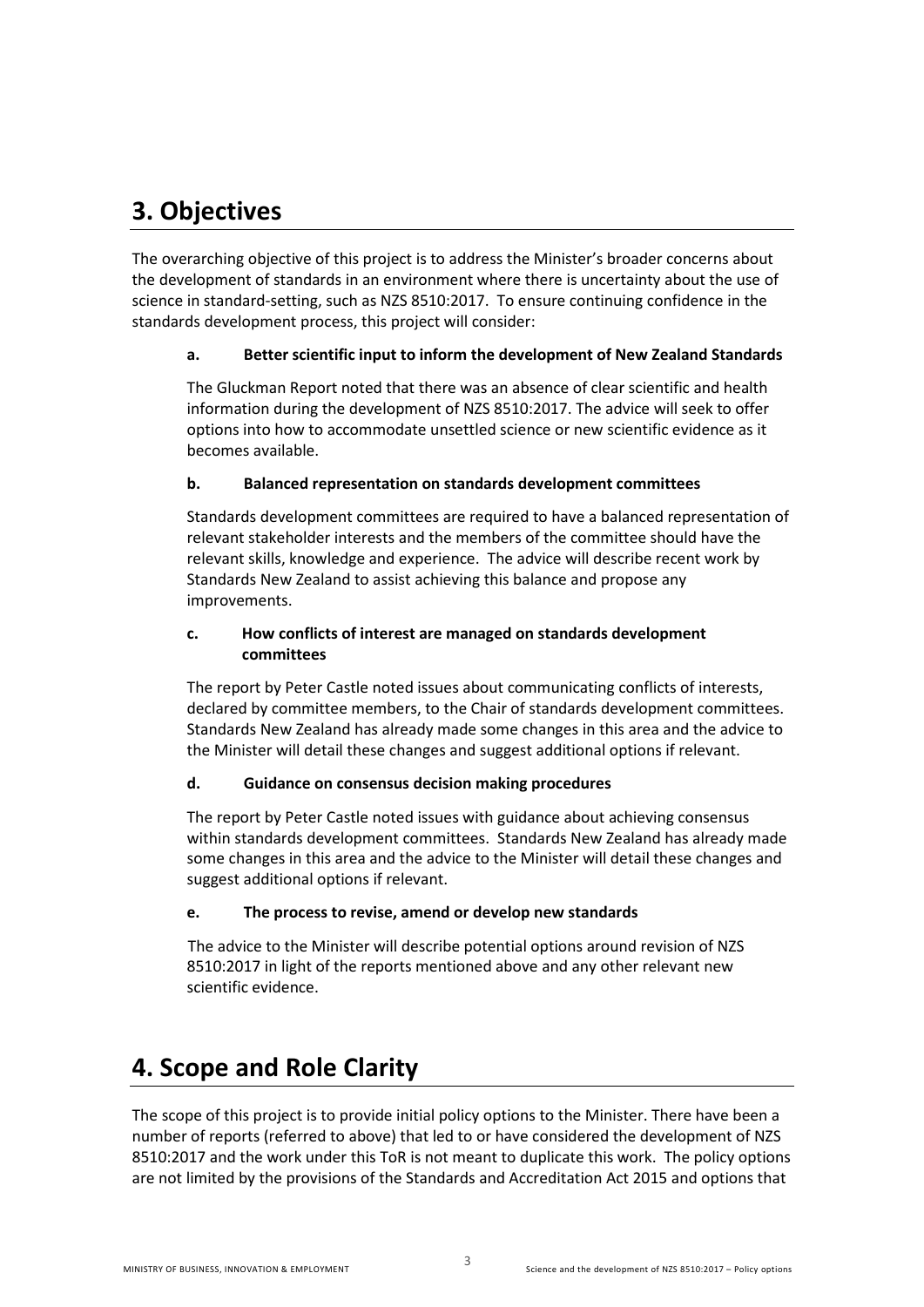# **3. Objectives**

The overarching objective of this project is to address the Minister's broader concerns about the development of standards in an environment where there is uncertainty about the use of science in standard-setting, such as NZS 8510:2017. To ensure continuing confidence in the standards development process, this project will consider:

#### **a. Better scientific input to inform the development of New Zealand Standards**

The Gluckman Report noted that there was an absence of clear scientific and health information during the development of NZS 8510:2017. The advice will seek to offer options into how to accommodate unsettled science or new scientific evidence as it becomes available.

#### **b. Balanced representation on standards development committees**

Standards development committees are required to have a balanced representation of relevant stakeholder interests and the members of the committee should have the relevant skills, knowledge and experience. The advice will describe recent work by Standards New Zealand to assist achieving this balance and propose any improvements.

#### **c. How conflicts of interest are managed on standards development committees**

The report by Peter Castle noted issues about communicating conflicts of interests, declared by committee members, to the Chair of standards development committees. Standards New Zealand has already made some changes in this area and the advice to the Minister will detail these changes and suggest additional options if relevant.

#### **d. Guidance on consensus decision making procedures**

The report by Peter Castle noted issues with guidance about achieving consensus within standards development committees. Standards New Zealand has already made some changes in this area and the advice to the Minister will detail these changes and suggest additional options if relevant.

#### **e. The process to revise, amend or develop new standards**

The advice to the Minister will describe potential options around revision of NZS 8510:2017 in light of the reports mentioned above and any other relevant new scientific evidence.

## **4. Scope and Role Clarity**

The scope of this project is to provide initial policy options to the Minister. There have been a number of reports (referred to above) that led to or have considered the development of NZS 8510:2017 and the work under this ToR is not meant to duplicate this work. The policy options are not limited by the provisions of the Standards and Accreditation Act 2015 and options that